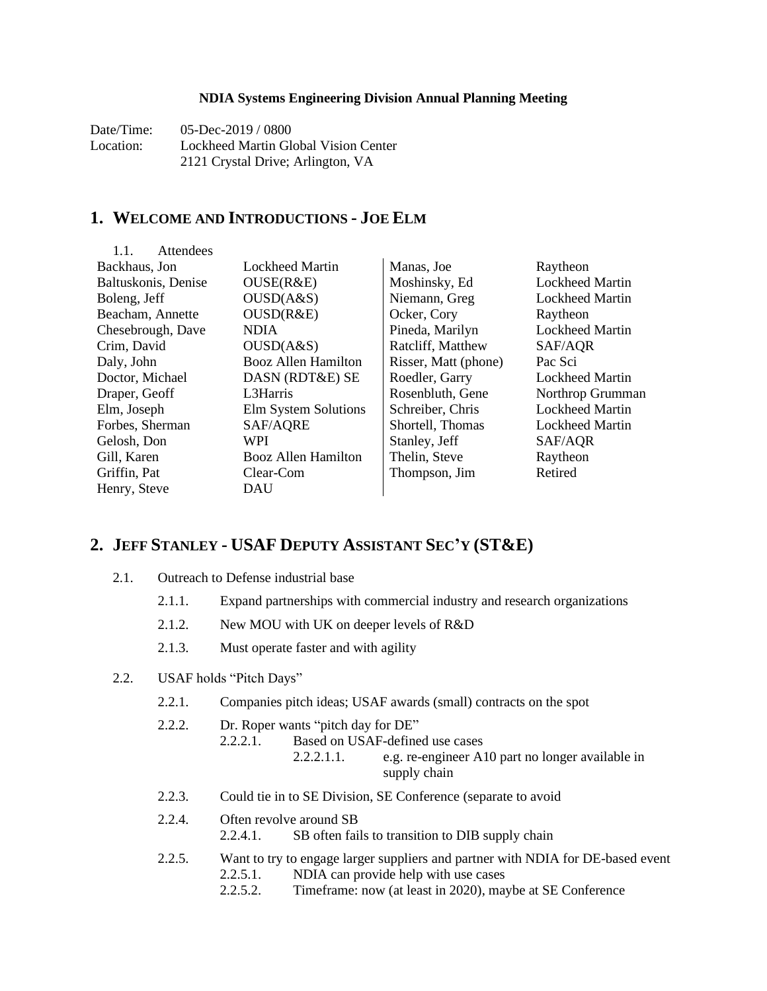### **NDIA Systems Engineering Division Annual Planning Meeting**

Date/Time: 05-Dec-2019 / 0800<br>Location: Lockheed Martin Gl Lockheed Martin Global Vision Center 2121 Crystal Drive; Arlington, VA

# **1. WELCOME AND INTRODUCTIONS - JOE ELM**

| <b>Attendees</b><br>1.1.            |                            |                                          |                        |  |
|-------------------------------------|----------------------------|------------------------------------------|------------------------|--|
| Backhaus, Jon                       | <b>Lockheed Martin</b>     | Manas, Joe                               | Raytheon               |  |
| Baltuskonis, Denise                 | OUSE(R&E)                  | Moshinsky, Ed                            | <b>Lockheed Martin</b> |  |
| Boleng, Jeff                        | OUSD(A&S)                  | Niemann, Greg                            | <b>Lockheed Martin</b> |  |
| Beacham, Annette                    | OUSD(R&E)                  | Ocker, Cory                              | Raytheon               |  |
| Chesebrough, Dave<br><b>NDIA</b>    |                            | Pineda, Marilyn                          | <b>Lockheed Martin</b> |  |
| OUSD(A&S)<br>Crim, David            |                            | Ratcliff, Matthew                        | SAF/AQR                |  |
| Daly, John                          | <b>Booz Allen Hamilton</b> | Risser, Matt (phone)                     | Pac Sci                |  |
| Doctor, Michael<br>DASN (RDT&E) SE  |                            | Roedler, Garry<br><b>Lockheed Martin</b> |                        |  |
| Draper, Geoff<br>L3Harris           |                            | Rosenbluth, Gene                         | Northrop Grumman       |  |
| Elm, Joseph<br>Elm System Solutions |                            | Schreiber, Chris                         | <b>Lockheed Martin</b> |  |
| Forbes, Sherman<br>SAF/AQRE         |                            | Shortell, Thomas                         | <b>Lockheed Martin</b> |  |
| WPI<br>Gelosh, Don                  |                            | Stanley, Jeff                            | SAF/AQR                |  |
| Gill, Karen                         | <b>Booz Allen Hamilton</b> | Thelin, Steve                            | Raytheon               |  |
| Griffin, Pat                        | Clear-Com                  | Thompson, Jim                            | Retired                |  |
| Henry, Steve                        | DAU                        |                                          |                        |  |

## **2. JEFF STANLEY - USAF DEPUTY ASSISTANT SEC'Y (ST&E)**

- 2.1. Outreach to Defense industrial base
	- 2.1.1. Expand partnerships with commercial industry and research organizations
	- 2.1.2. New MOU with UK on deeper levels of R&D
	- 2.1.3. Must operate faster and with agility

### 2.2. USAF holds "Pitch Days"

2.2.1. Companies pitch ideas; USAF awards (small) contracts on the spot

| 2.2.2.                  | Dr. Roper wants "pitch day for DE"<br>Based on USAF-defined use cases<br>2.2.2.1.<br>2.2.2.1.1.<br>e.g. re-engineer A10 part no longer available in<br>supply chain                                                                                  |  |
|-------------------------|------------------------------------------------------------------------------------------------------------------------------------------------------------------------------------------------------------------------------------------------------|--|
| 2.2.3.                  | Could tie in to SE Division, SE Conference (separate to avoid                                                                                                                                                                                        |  |
| 2.2.4.                  | Often revolve around SB<br>SB often fails to transition to DIB supply chain<br>2.2.4.1.                                                                                                                                                              |  |
| $\cap$ $\cap$ $\subset$ | $\mathbf{W}$ , and the next produced in the contraction of the second are set of $\mathbf{W}$ . All $\mathbf{W}$ and $\mathbf{W}$ are $\mathbf{A}$ and $\mathbf{A}$ are set of the set of the set of the set of the set of the set of the set of the |  |

2.2.5. Want to try to engage larger suppliers and partner with NDIA for DE-based event 2.2.5.1. NDIA can provide help with use cases 2.2.5.2. Timeframe: now (at least in 2020), maybe at SE Conference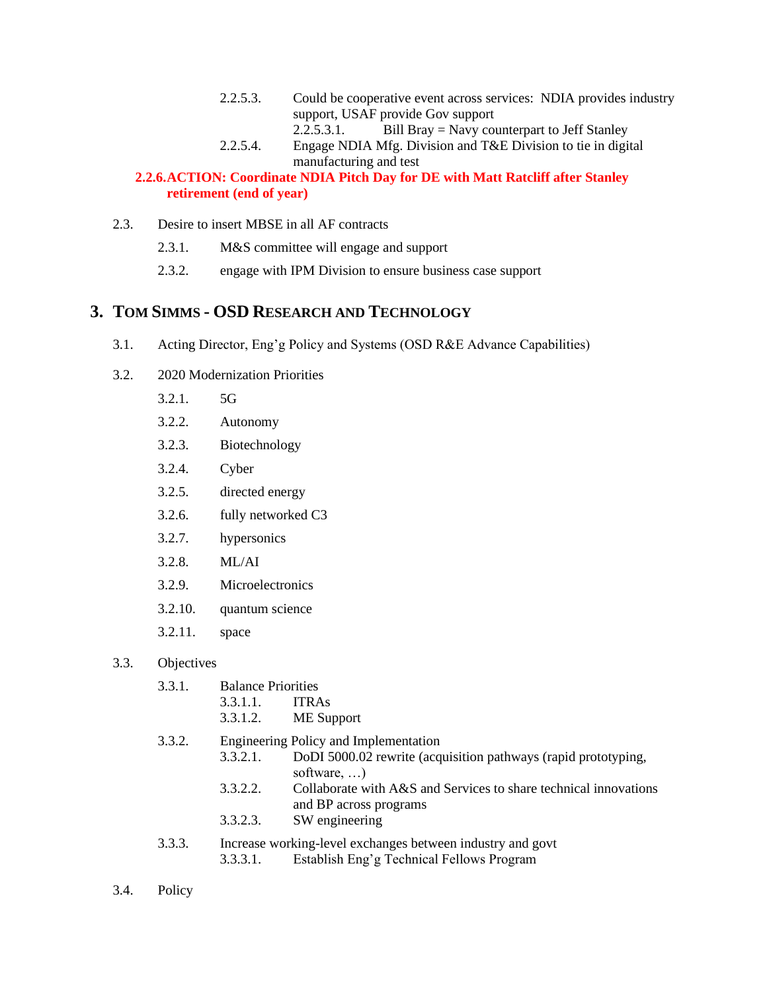- 2.2.5.3. Could be cooperative event across services: NDIA provides industry support, USAF provide Gov support
	- 2.2.5.3.1. Bill Bray = Navy counterpart to Jeff Stanley
- 2.2.5.4. Engage NDIA Mfg. Division and T&E Division to tie in digital manufacturing and test

### **2.2.6.ACTION: Coordinate NDIA Pitch Day for DE with Matt Ratcliff after Stanley retirement (end of year)**

- 2.3. Desire to insert MBSE in all AF contracts
	- 2.3.1. M&S committee will engage and support
	- 2.3.2. engage with IPM Division to ensure business case support

## **3. TOM SIMMS - OSD RESEARCH AND TECHNOLOGY**

- 3.1. Acting Director, Eng'g Policy and Systems (OSD R&E Advance Capabilities)
- 3.2. 2020 Modernization Priorities
	- 3.2.1. 5G
	- 3.2.2. Autonomy
	- 3.2.3. Biotechnology
	- 3.2.4. Cyber
	- 3.2.5. directed energy
	- 3.2.6. fully networked C3
	- 3.2.7. hypersonics
	- 3.2.8. ML/AI
	- 3.2.9. Microelectronics
	- 3.2.10. quantum science
	- 3.2.11. space

### 3.3. Objectives

- 3.3.1. Balance Priorities
	- 3.3.1.1. ITRAs
		- 3.3.1.2. ME Support

| 3.3.2. | Engineering Policy and Implementation |
|--------|---------------------------------------|
|        |                                       |
|        |                                       |

- 3.3.2.1. DoDI 5000.02 rewrite (acquisition pathways (rapid prototyping, software, …)
	- 3.3.2.2. Collaborate with A&S and Services to share technical innovations and BP across programs
	- 3.3.2.3. SW engineering
- 3.3.3. Increase working-level exchanges between industry and govt 3.3.3.1. Establish Eng'g Technical Fellows Program
- 3.4. Policy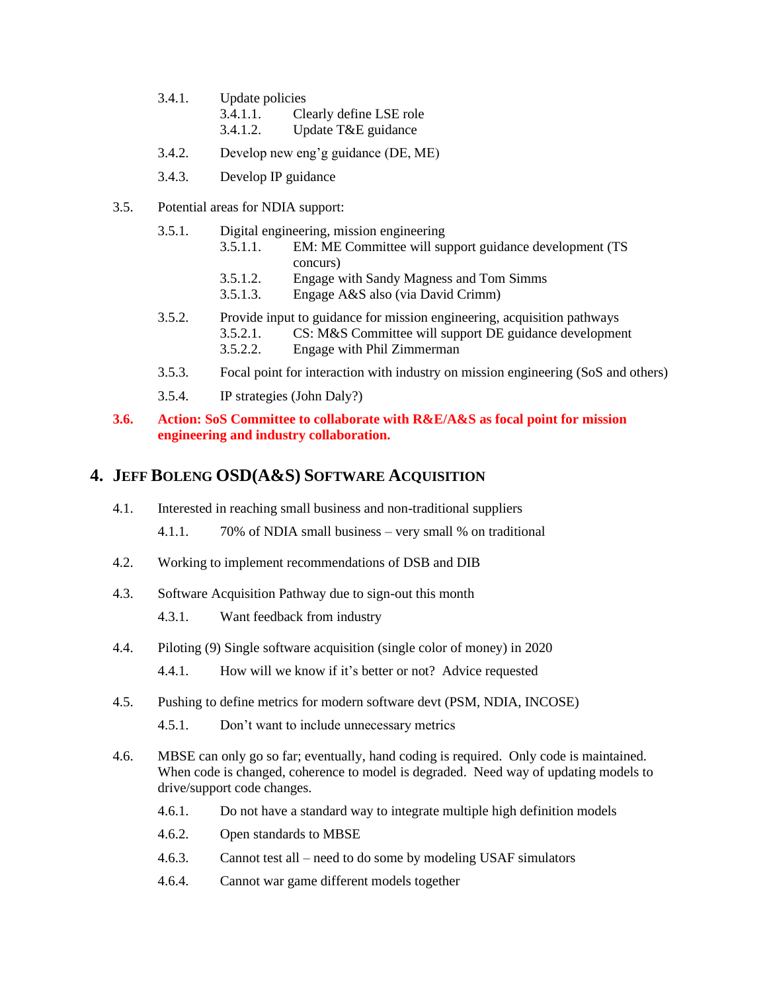- 3.4.1. Update policies 3.4.1.1. Clearly define LSE role 3.4.1.2. Update T&E guidance
- 3.4.2. Develop new eng'g guidance (DE, ME)
- 3.4.3. Develop IP guidance
- 3.5. Potential areas for NDIA support:
	- 3.5.1. Digital engineering, mission engineering
		- 3.5.1.1. EM: ME Committee will support guidance development (TS concurs)
		- 3.5.1.2. Engage with Sandy Magness and Tom Simms
		- 3.5.1.3. Engage A&S also (via David Crimm)

#### 3.5.2. Provide input to guidance for mission engineering, acquisition pathways 3.5.2.1. CS: M&S Committee will support DE guidance development 3.5.2.2. Engage with Phil Zimmerman

- 3.5.3. Focal point for interaction with industry on mission engineering (SoS and others)
- 3.5.4. IP strategies (John Daly?)
- **3.6. Action: SoS Committee to collaborate with R&E/A&S as focal point for mission engineering and industry collaboration.**

### **4. JEFF BOLENG OSD(A&S) SOFTWARE ACQUISITION**

- 4.1. Interested in reaching small business and non-traditional suppliers
	- 4.1.1. 70% of NDIA small business very small % on traditional
- 4.2. Working to implement recommendations of DSB and DIB
- 4.3. Software Acquisition Pathway due to sign-out this month
	- 4.3.1. Want feedback from industry
- 4.4. Piloting (9) Single software acquisition (single color of money) in 2020
	- 4.4.1. How will we know if it's better or not? Advice requested
- 4.5. Pushing to define metrics for modern software devt (PSM, NDIA, INCOSE)
	- 4.5.1. Don't want to include unnecessary metrics
- 4.6. MBSE can only go so far; eventually, hand coding is required. Only code is maintained. When code is changed, coherence to model is degraded. Need way of updating models to drive/support code changes.
	- 4.6.1. Do not have a standard way to integrate multiple high definition models
	- 4.6.2. Open standards to MBSE
	- 4.6.3. Cannot test all need to do some by modeling USAF simulators
	- 4.6.4. Cannot war game different models together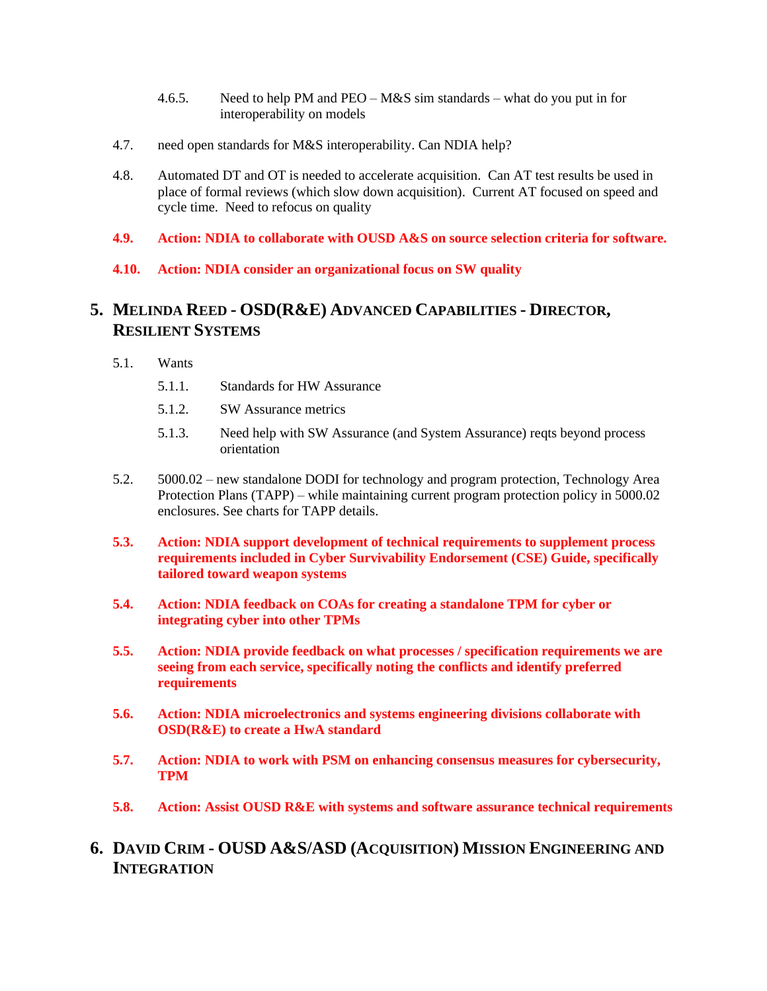- 4.6.5. Need to help PM and PEO M&S sim standards what do you put in for interoperability on models
- 4.7. need open standards for M&S interoperability. Can NDIA help?
- 4.8. Automated DT and OT is needed to accelerate acquisition. Can AT test results be used in place of formal reviews (which slow down acquisition). Current AT focused on speed and cycle time. Need to refocus on quality
- **4.9. Action: NDIA to collaborate with OUSD A&S on source selection criteria for software.**
- **4.10. Action: NDIA consider an organizational focus on SW quality**

# **5. MELINDA REED - OSD(R&E) ADVANCED CAPABILITIES - DIRECTOR, RESILIENT SYSTEMS**

- 5.1. Wants
	- 5.1.1. Standards for HW Assurance
	- 5.1.2. SW Assurance metrics
	- 5.1.3. Need help with SW Assurance (and System Assurance) reqts beyond process orientation
- 5.2. 5000.02 new standalone DODI for technology and program protection, Technology Area Protection Plans (TAPP) – while maintaining current program protection policy in 5000.02 enclosures. See charts for TAPP details.
- **5.3. Action: NDIA support development of technical requirements to supplement process requirements included in Cyber Survivability Endorsement (CSE) Guide, specifically tailored toward weapon systems**
- **5.4. Action: NDIA feedback on COAs for creating a standalone TPM for cyber or integrating cyber into other TPMs**
- **5.5. Action: NDIA provide feedback on what processes / specification requirements we are seeing from each service, specifically noting the conflicts and identify preferred requirements**
- **5.6. Action: NDIA microelectronics and systems engineering divisions collaborate with OSD(R&E) to create a HwA standard**
- **5.7. Action: NDIA to work with PSM on enhancing consensus measures for cybersecurity, TPM**
- **5.8. Action: Assist OUSD R&E with systems and software assurance technical requirements**

## **6. DAVID CRIM - OUSD A&S/ASD (ACQUISITION) MISSION ENGINEERING AND INTEGRATION**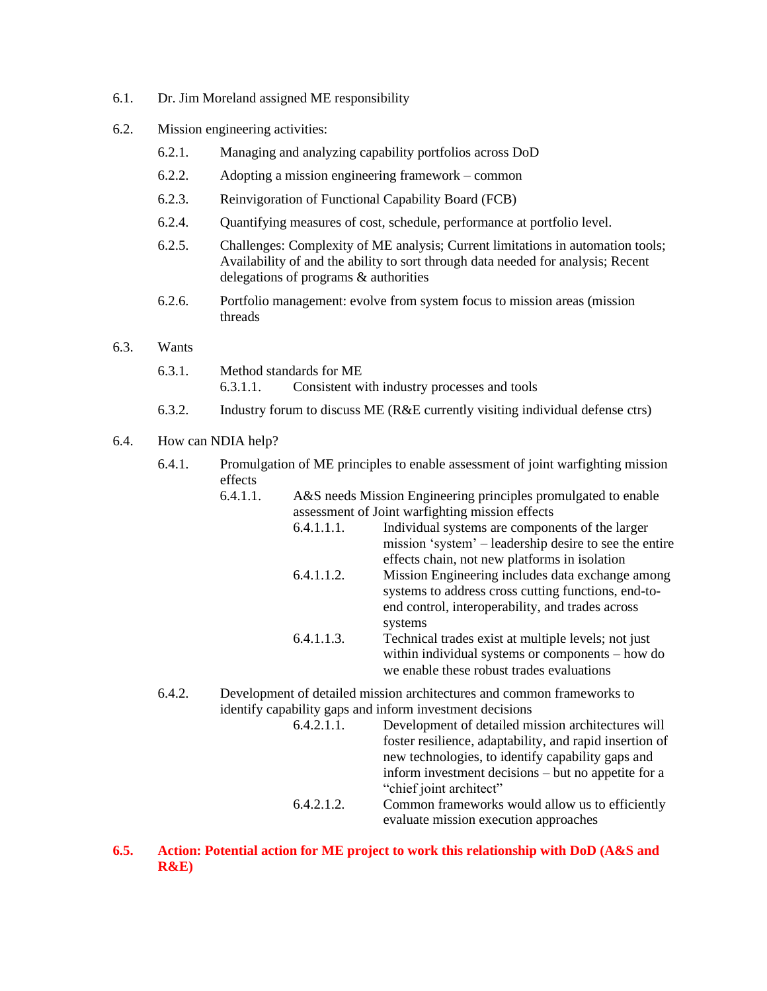- 6.1. Dr. Jim Moreland assigned ME responsibility
- 6.2. Mission engineering activities:
	- 6.2.1. Managing and analyzing capability portfolios across DoD
	- 6.2.2. Adopting a mission engineering framework common
	- 6.2.3. Reinvigoration of Functional Capability Board (FCB)
	- 6.2.4. Quantifying measures of cost, schedule, performance at portfolio level.
	- 6.2.5. Challenges: Complexity of ME analysis; Current limitations in automation tools; Availability of and the ability to sort through data needed for analysis; Recent delegations of programs & authorities
	- 6.2.6. Portfolio management: evolve from system focus to mission areas (mission threads
- 6.3. Wants

| 6.3.1. | Method standards for ME |                                                       |  |
|--------|-------------------------|-------------------------------------------------------|--|
|        |                         | 6.3.1.1. Consistent with industry processes and tools |  |

6.3.2. Industry forum to discuss ME (R&E currently visiting individual defense ctrs)

#### 6.4. How can NDIA help?

6.4.1. Promulgation of ME principles to enable assessment of joint warfighting mission effects

| 6.4.1.1. | A&S needs Mission Engineering principles promulgated to enable |  |  |
|----------|----------------------------------------------------------------|--|--|
|          | assessment of Joint warfighting mission effects                |  |  |
|          | $\sim$ 1111 $\sim$ 11111 $\sim$                                |  |  |

- 6.4.1.1.1. Individual systems are components of the larger mission 'system' – leadership desire to see the entire effects chain, not new platforms in isolation
- 6.4.1.1.2. Mission Engineering includes data exchange among systems to address cross cutting functions, end-toend control, interoperability, and trades across systems
- 6.4.1.1.3. Technical trades exist at multiple levels; not just within individual systems or components – how do we enable these robust trades evaluations
- 6.4.2. Development of detailed mission architectures and common frameworks to identify capability gaps and inform investment decisions
	- 6.4.2.1.1. Development of detailed mission architectures will foster resilience, adaptability, and rapid insertion of new technologies, to identify capability gaps and inform investment decisions – but no appetite for a "chief joint architect" 6.4.2.1.2. Common frameworks would allow us to efficiently evaluate mission execution approaches
- **6.5. Action: Potential action for ME project to work this relationship with DoD (A&S and R&E)**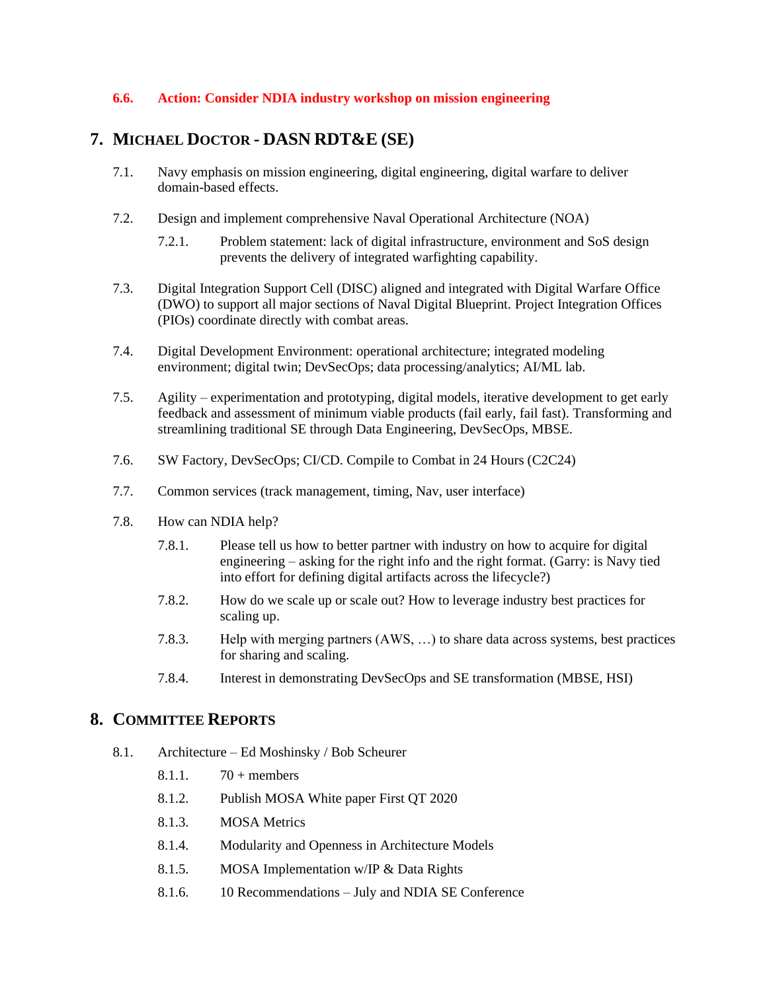### **6.6. Action: Consider NDIA industry workshop on mission engineering**

# **7. MICHAEL DOCTOR - DASN RDT&E (SE)**

- 7.1. Navy emphasis on mission engineering, digital engineering, digital warfare to deliver domain-based effects.
- 7.2. Design and implement comprehensive Naval Operational Architecture (NOA)
	- 7.2.1. Problem statement: lack of digital infrastructure, environment and SoS design prevents the delivery of integrated warfighting capability.
- 7.3. Digital Integration Support Cell (DISC) aligned and integrated with Digital Warfare Office (DWO) to support all major sections of Naval Digital Blueprint. Project Integration Offices (PIOs) coordinate directly with combat areas.
- 7.4. Digital Development Environment: operational architecture; integrated modeling environment; digital twin; DevSecOps; data processing/analytics; AI/ML lab.
- 7.5. Agility experimentation and prototyping, digital models, iterative development to get early feedback and assessment of minimum viable products (fail early, fail fast). Transforming and streamlining traditional SE through Data Engineering, DevSecOps, MBSE.
- 7.6. SW Factory, DevSecOps; CI/CD. Compile to Combat in 24 Hours (C2C24)
- 7.7. Common services (track management, timing, Nav, user interface)
- 7.8. How can NDIA help?
	- 7.8.1. Please tell us how to better partner with industry on how to acquire for digital engineering – asking for the right info and the right format. (Garry: is Navy tied into effort for defining digital artifacts across the lifecycle?)
	- 7.8.2. How do we scale up or scale out? How to leverage industry best practices for scaling up.
	- 7.8.3. Help with merging partners (AWS, …) to share data across systems, best practices for sharing and scaling.
	- 7.8.4. Interest in demonstrating DevSecOps and SE transformation (MBSE, HSI)

## **8. COMMITTEE REPORTS**

- 8.1. Architecture Ed Moshinsky / Bob Scheurer
	- 8.1.1.  $70 + \text{members}$
	- 8.1.2. Publish MOSA White paper First QT 2020
	- 8.1.3. MOSA Metrics
	- 8.1.4. Modularity and Openness in Architecture Models
	- 8.1.5. MOSA Implementation w/IP & Data Rights
	- 8.1.6. 10 Recommendations July and NDIA SE Conference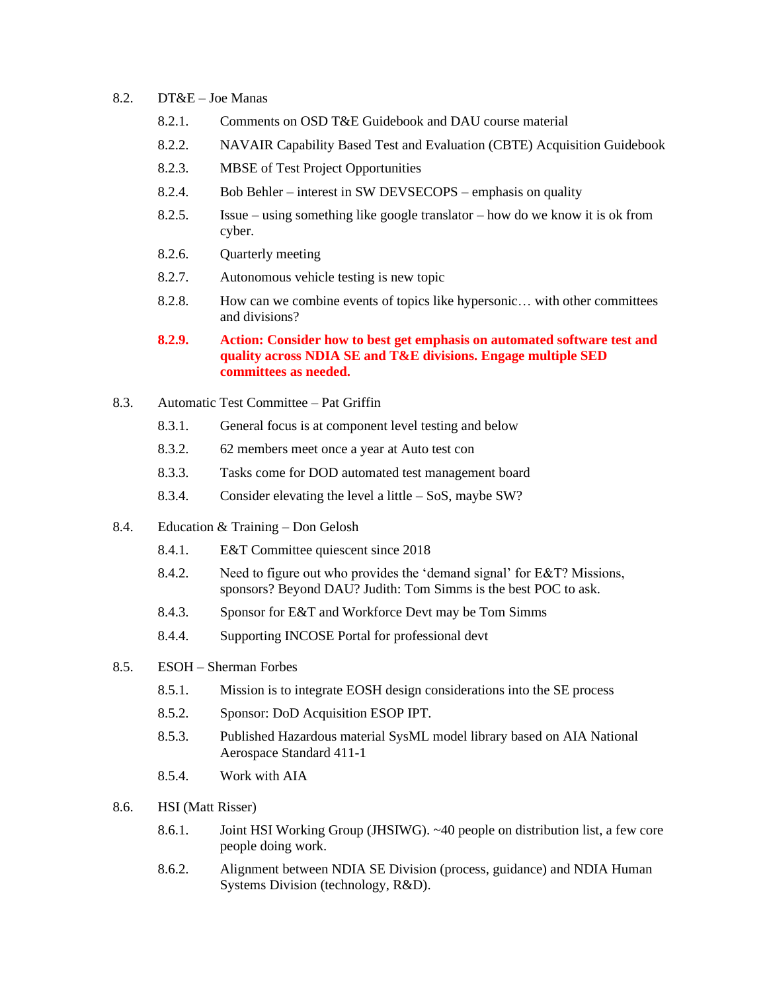#### 8.2. DT&E – Joe Manas

- 8.2.1. Comments on OSD T&E Guidebook and DAU course material
- 8.2.2. NAVAIR Capability Based Test and Evaluation (CBTE) Acquisition Guidebook
- 8.2.3. MBSE of Test Project Opportunities
- 8.2.4. Bob Behler interest in SW DEVSECOPS emphasis on quality
- 8.2.5. Issue using something like google translator how do we know it is ok from cyber.
- 8.2.6. Quarterly meeting
- 8.2.7. Autonomous vehicle testing is new topic
- 8.2.8. How can we combine events of topics like hypersonic… with other committees and divisions?
- **8.2.9. Action: Consider how to best get emphasis on automated software test and quality across NDIA SE and T&E divisions. Engage multiple SED committees as needed.**
- 8.3. Automatic Test Committee Pat Griffin
	- 8.3.1. General focus is at component level testing and below
	- 8.3.2. 62 members meet once a year at Auto test con
	- 8.3.3. Tasks come for DOD automated test management board
	- 8.3.4. Consider elevating the level a little SoS, maybe SW?
- 8.4. Education & Training Don Gelosh
	- 8.4.1. E&T Committee quiescent since 2018
	- 8.4.2. Need to figure out who provides the 'demand signal' for E&T? Missions, sponsors? Beyond DAU? Judith: Tom Simms is the best POC to ask.
	- 8.4.3. Sponsor for E&T and Workforce Devt may be Tom Simms
	- 8.4.4. Supporting INCOSE Portal for professional devt
- 8.5. ESOH Sherman Forbes
	- 8.5.1. Mission is to integrate EOSH design considerations into the SE process
	- 8.5.2. Sponsor: DoD Acquisition ESOP IPT.
	- 8.5.3. Published Hazardous material SysML model library based on AIA National Aerospace Standard 411-1
	- 8.5.4. Work with AIA
- 8.6. HSI (Matt Risser)
	- 8.6.1. Joint HSI Working Group (JHSIWG). ~40 people on distribution list, a few core people doing work.
	- 8.6.2. Alignment between NDIA SE Division (process, guidance) and NDIA Human Systems Division (technology, R&D).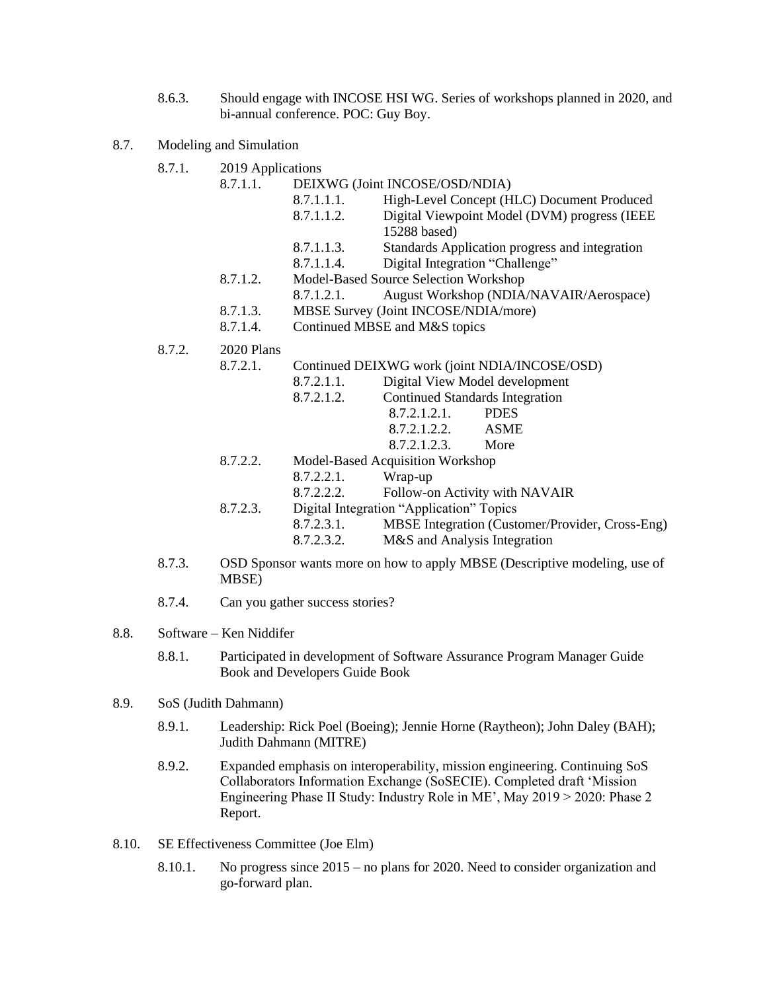- 8.6.3. Should engage with INCOSE HSI WG. Series of workshops planned in 2020, and bi-annual conference. POC: Guy Boy.
- 8.7. Modeling and Simulation
	- 8.7.1. 2019 Applications
		- 8.7.1.1. DEIXWG (Joint INCOSE/OSD/NDIA)
			- 8.7.1.1.1. High-Level Concept (HLC) Document Produced
			- 8.7.1.1.2. Digital Viewpoint Model (DVM) progress (IEEE 15288 based)
			- 8.7.1.1.3. Standards Application progress and integration
			- 8.7.1.1.4. Digital Integration "Challenge"
		- 8.7.1.2. Model-Based Source Selection Workshop
			- 8.7.1.2.1. August Workshop (NDIA/NAVAIR/Aerospace)
		- 8.7.1.3. MBSE Survey (Joint INCOSE/NDIA/more)
		- 8.7.1.4. Continued MBSE and M&S topics

8.7.2. 2020 Plans

| 8.7.2.1. | Continued DEIXWG work (joint NDIA/INCOSE/OSD) |                                                                          |             |  |
|----------|-----------------------------------------------|--------------------------------------------------------------------------|-------------|--|
|          | 8.7.2.1.1.                                    | Digital View Model development<br><b>Continued Standards Integration</b> |             |  |
|          | 8.7.2.1.2.                                    |                                                                          |             |  |
|          |                                               | 8.7.2.1.2.1.                                                             | <b>PDES</b> |  |
|          |                                               | 8.7.2.1.2.2. ASME                                                        |             |  |
|          |                                               | 8.7.2.1.2.3.                                                             | More        |  |
| 8.7.2.2. |                                               | Model-Based Acquisition Workshop                                         |             |  |
|          |                                               | $0.7001$ W <sub>w</sub>                                                  |             |  |

8.7.2.2.1. Wrap-up

8.7.2.2.2. Follow-on Activity with NAVAIR

- 8.7.2.3. Digital Integration "Application" Topics
	- 8.7.2.3.1. MBSE Integration (Customer/Provider, Cross-Eng)
		- 8.7.2.3.2. M&S and Analysis Integration
- 8.7.3. OSD Sponsor wants more on how to apply MBSE (Descriptive modeling, use of MBSE)
- 8.7.4. Can you gather success stories?
- 8.8. Software Ken Niddifer
	- 8.8.1. Participated in development of Software Assurance Program Manager Guide Book and Developers Guide Book
- 8.9. SoS (Judith Dahmann)
	- 8.9.1. Leadership: Rick Poel (Boeing); Jennie Horne (Raytheon); John Daley (BAH); Judith Dahmann (MITRE)
	- 8.9.2. Expanded emphasis on interoperability, mission engineering. Continuing SoS Collaborators Information Exchange (SoSECIE). Completed draft 'Mission Engineering Phase II Study: Industry Role in ME', May 2019 > 2020: Phase 2 Report.
- 8.10. SE Effectiveness Committee (Joe Elm)
	- 8.10.1. No progress since 2015 no plans for 2020. Need to consider organization and go-forward plan.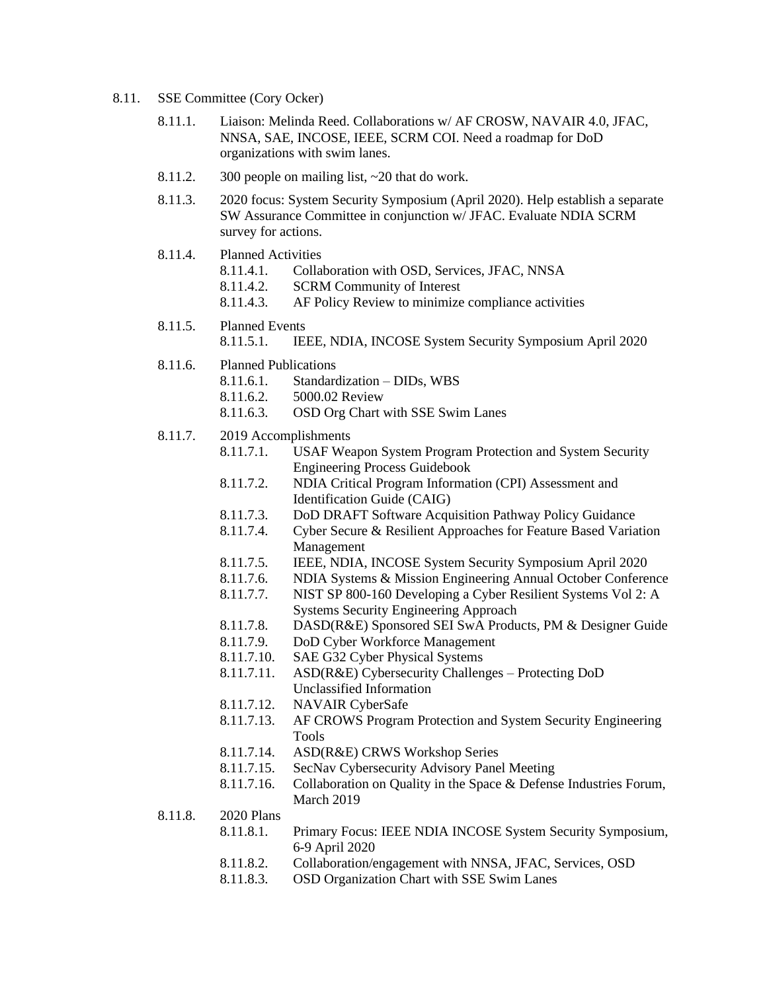- 8.11. SSE Committee (Cory Ocker)
	- 8.11.1. Liaison: Melinda Reed. Collaborations w/ AF CROSW, NAVAIR 4.0, JFAC, NNSA, SAE, INCOSE, IEEE, SCRM COI. Need a roadmap for DoD organizations with swim lanes.
	- 8.11.2. 300 people on mailing list, ~20 that do work.
	- 8.11.3. 2020 focus: System Security Symposium (April 2020). Help establish a separate SW Assurance Committee in conjunction w/ JFAC. Evaluate NDIA SCRM survey for actions.
	- 8.11.4. Planned Activities
		- 8.11.4.1. Collaboration with OSD, Services, JFAC, NNSA
		- 8.11.4.2. SCRM Community of Interest
		- 8.11.4.3. AF Policy Review to minimize compliance activities
	- 8.11.5. Planned Events
		- 8.11.5.1. IEEE, NDIA, INCOSE System Security Symposium April 2020
	- 8.11.6. Planned Publications
		- 8.11.6.1. Standardization DIDs, WBS
		- 8.11.6.2. 5000.02 Review
		- 8.11.6.3. OSD Org Chart with SSE Swim Lanes
	- 8.11.7. 2019 Accomplishments
		- 8.11.7.1. USAF Weapon System Program Protection and System Security Engineering Process Guidebook
		- 8.11.7.2. NDIA Critical Program Information (CPI) Assessment and Identification Guide (CAIG)
		- 8.11.7.3. DoD DRAFT Software Acquisition Pathway Policy Guidance
		- 8.11.7.4. Cyber Secure & Resilient Approaches for Feature Based Variation Management
		- 8.11.7.5. IEEE, NDIA, INCOSE System Security Symposium April 2020
		- 8.11.7.6. NDIA Systems & Mission Engineering Annual October Conference
		- 8.11.7.7. NIST SP 800-160 Developing a Cyber Resilient Systems Vol 2: A Systems Security Engineering Approach
		- 8.11.7.8. DASD(R&E) Sponsored SEI SwA Products, PM & Designer Guide
		- 8.11.7.9. DoD Cyber Workforce Management
		- 8.11.7.10. SAE G32 Cyber Physical Systems
		- 8.11.7.11. ASD(R&E) Cybersecurity Challenges Protecting DoD Unclassified Information
		- 8.11.7.12. NAVAIR CyberSafe
		- 8.11.7.13. AF CROWS Program Protection and System Security Engineering Tools
		- 8.11.7.14. ASD(R&E) CRWS Workshop Series
		- 8.11.7.15. SecNav Cybersecurity Advisory Panel Meeting
		- 8.11.7.16. Collaboration on Quality in the Space & Defense Industries Forum, March 2019

8.11.8. 2020 Plans

- 8.11.8.1. Primary Focus: IEEE NDIA INCOSE System Security Symposium, 6-9 April 2020
- 8.11.8.2. Collaboration/engagement with NNSA, JFAC, Services, OSD
- 8.11.8.3. OSD Organization Chart with SSE Swim Lanes